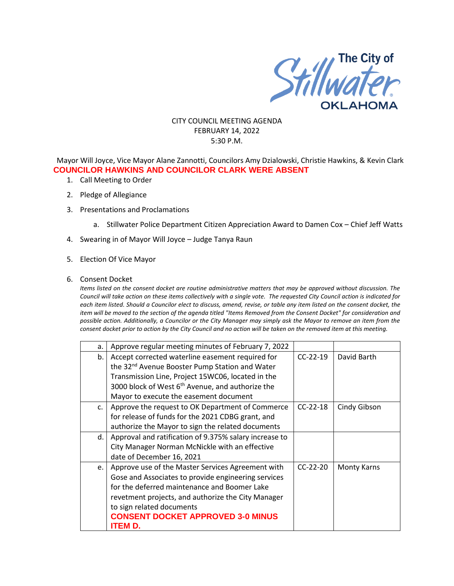

### CITY COUNCIL MEETING AGENDA FEBRUARY 14, 2022 5:30 P.M.

Mayor Will Joyce, Vice Mayor Alane Zannotti, Councilors Amy Dzialowski, Christie Hawkins, & Kevin Clark **COUNCILOR HAWKINS AND COUNCILOR CLARK WERE ABSENT**

- 1. Call Meeting to Order
- 2. Pledge of Allegiance
- 3. Presentations and Proclamations
	- a. Stillwater Police Department Citizen Appreciation Award to Damen Cox Chief Jeff Watts
- 4. Swearing in of Mayor Will Joyce Judge Tanya Raun
- 5. Election Of Vice Mayor
- 6. Consent Docket

*Items listed on the consent docket are routine administrative matters that may be approved without discussion. The Council will take action on these items collectively with a single vote. The requested City Council action is indicated for each item listed. Should a Councilor elect to discuss, amend, revise, or table any item listed on the consent docket, the item will be moved to the section of the agenda titled "Items Removed from the Consent Docket" for consideration and possible action. Additionally, a Councilor or the City Manager may simply ask the Mayor to remove an item from the consent docket prior to action by the City Council and no action will be taken on the removed item at this meeting.*

| a.          | Approve regular meeting minutes of February 7, 2022          |            |                    |
|-------------|--------------------------------------------------------------|------------|--------------------|
| b.          | Accept corrected waterline easement required for             | $CC-22-19$ | David Barth        |
|             | the 32 <sup>nd</sup> Avenue Booster Pump Station and Water   |            |                    |
|             | Transmission Line, Project 15WC06, located in the            |            |                    |
|             | 3000 block of West 6 <sup>th</sup> Avenue, and authorize the |            |                    |
|             | Mayor to execute the easement document                       |            |                    |
| $C_{\star}$ | Approve the request to OK Department of Commerce             | $CC-22-18$ | Cindy Gibson       |
|             | for release of funds for the 2021 CDBG grant, and            |            |                    |
|             | authorize the Mayor to sign the related documents            |            |                    |
| d.          | Approval and ratification of 9.375% salary increase to       |            |                    |
|             | City Manager Norman McNickle with an effective               |            |                    |
|             | date of December 16, 2021                                    |            |                    |
| e.          | Approve use of the Master Services Agreement with            | $CC-22-20$ | <b>Monty Karns</b> |
|             | Gose and Associates to provide engineering services          |            |                    |
|             | for the deferred maintenance and Boomer Lake                 |            |                    |
|             | revetment projects, and authorize the City Manager           |            |                    |
|             | to sign related documents                                    |            |                    |
|             | <b>CONSENT DOCKET APPROVED 3-0 MINUS</b>                     |            |                    |
|             | ITEM D.                                                      |            |                    |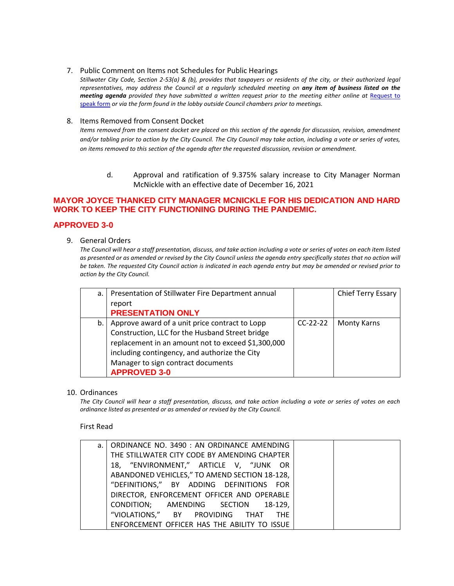#### 7. Public Comment on Items not Schedules for Public Hearings

*Stillwater City Code, Section 2-53(a) & (b), provides that taxpayers or residents of the city, or their authorized legal representatives, may address the Council at a regularly scheduled meeting on any item of business listed on the meeting agenda provided they have submitted a written request prior to the meeting either online at Request to* [speak form](http://stillwater.org/page/home/government/mayor-city-council/meetings-agendas-minutes/online-request-to-speak-at-city-council) *or via the form found in the lobby outside Council chambers prior to meetings.*

#### 8. Items Removed from Consent Docket

*Items removed from the consent docket are placed on this section of the agenda for discussion, revision, amendment and/or tabling prior to action by the City Council. The City Council may take action, including a vote or series of votes, on items removed to this section of the agenda after the requested discussion, revision or amendment.*

d. Approval and ratification of 9.375% salary increase to City Manager Norman McNickle with an effective date of December 16, 2021

## **MAYOR JOYCE THANKED CITY MANAGER MCNICKLE FOR HIS DEDICATION AND HARD WORK TO KEEP THE CITY FUNCTIONING DURING THE PANDEMIC.**

### **APPROVED 3-0**

9. General Orders

*The Council will hear a staff presentation, discuss, and take action including a vote or series of votes on each item listed as presented or as amended or revised by the City Council unless the agenda entry specifically states that no action will be taken. The requested City Council action is indicated in each agenda entry but may be amended or revised prior to action by the City Council.* 

| a. | Presentation of Stillwater Fire Department annual  |            | Chief Terry Essary |
|----|----------------------------------------------------|------------|--------------------|
|    | report                                             |            |                    |
|    | <b>PRESENTATION ONLY</b>                           |            |                    |
| b. | Approve award of a unit price contract to Lopp     | $CC-22-22$ | <b>Monty Karns</b> |
|    | Construction, LLC for the Husband Street bridge    |            |                    |
|    | replacement in an amount not to exceed \$1,300,000 |            |                    |
|    | including contingency, and authorize the City      |            |                    |
|    | Manager to sign contract documents                 |            |                    |
|    | <b>APPROVED 3-0</b>                                |            |                    |

#### 10. Ordinances

*The City Council will hear a staff presentation, discuss, and take action including a vote or series of votes on each ordinance listed as presented or as amended or revised by the City Council.*

First Read

| a.   ORDINANCE NO. 3490 : AN ORDINANCE AMENDING |  |
|-------------------------------------------------|--|
| THE STILLWATER CITY CODE BY AMENDING CHAPTER    |  |
| 18, "ENVIRONMENT," ARTICLE V, "JUNK OR          |  |
| ABANDONED VEHICLES," TO AMEND SECTION 18-128,   |  |
| "DEFINITIONS," BY ADDING DEFINITIONS FOR        |  |
| DIRECTOR, ENFORCEMENT OFFICER AND OPERABLE      |  |
| CONDITION; AMENDING SECTION 18-129,             |  |
| "VIOLATIONS," BY PROVIDING THAT THE             |  |
| ENFORCEMENT OFFICER HAS THE ABILITY TO ISSUE    |  |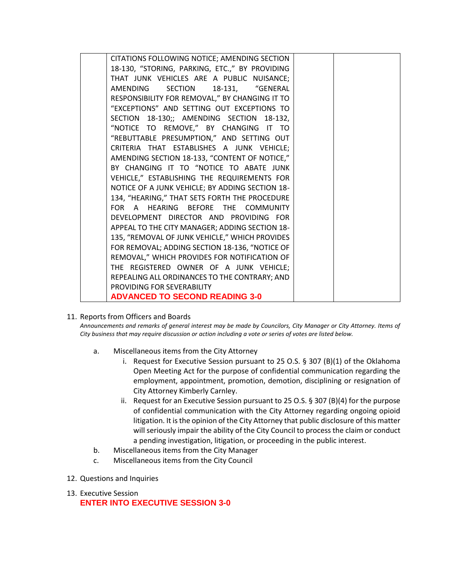| CITATIONS FOLLOWING NOTICE; AMENDING SECTION    |  |
|-------------------------------------------------|--|
| 18-130, "STORING, PARKING, ETC.," BY PROVIDING  |  |
| THAT JUNK VEHICLES ARE A PUBLIC NUISANCE;       |  |
| AMENDING<br><b>SECTION</b><br>18-131, "GENERAL  |  |
| RESPONSIBILITY FOR REMOVAL," BY CHANGING IT TO  |  |
| "EXCEPTIONS" AND SETTING OUT EXCEPTIONS TO      |  |
| SECTION 18-130;; AMENDING SECTION 18-132,       |  |
| "NOTICE TO REMOVE," BY CHANGING IT TO           |  |
| "REBUTTABLE PRESUMPTION," AND SETTING OUT       |  |
| CRITERIA THAT ESTABLISHES A JUNK VEHICLE;       |  |
| AMENDING SECTION 18-133, "CONTENT OF NOTICE,"   |  |
| BY CHANGING IT TO "NOTICE TO ABATE JUNK         |  |
|                                                 |  |
| VEHICLE," ESTABLISHING THE REQUIREMENTS FOR     |  |
| NOTICE OF A JUNK VEHICLE; BY ADDING SECTION 18- |  |
| 134, "HEARING," THAT SETS FORTH THE PROCEDURE   |  |
| FOR A HEARING BEFORE THE COMMUNITY              |  |
| DEVELOPMENT DIRECTOR AND PROVIDING FOR          |  |
| APPEAL TO THE CITY MANAGER; ADDING SECTION 18-  |  |
| 135, "REMOVAL OF JUNK VEHICLE," WHICH PROVIDES  |  |
| FOR REMOVAL; ADDING SECTION 18-136, "NOTICE OF  |  |
| REMOVAL," WHICH PROVIDES FOR NOTIFICATION OF    |  |
| THE REGISTERED OWNER OF A JUNK VEHICLE;         |  |
| REPEALING ALL ORDINANCES TO THE CONTRARY; AND   |  |
| PROVIDING FOR SEVERABILITY                      |  |
| <b>ADVANCED TO SECOND READING 3-0</b>           |  |
|                                                 |  |

11. Reports from Officers and Boards

*Announcements and remarks of general interest may be made by Councilors, City Manager or City Attorney. Items of City business that may require discussion or action including a vote or series of votes are listed below.*

- a. Miscellaneous items from the City Attorney
	- i. Request for Executive Session pursuant to 25 O.S.  $\S$  307 (B)(1) of the Oklahoma Open Meeting Act for the purpose of confidential communication regarding the employment, appointment, promotion, demotion, disciplining or resignation of City Attorney Kimberly Carnley.
	- ii. Request for an Executive Session pursuant to 25 O.S.  $\S$  307 (B)(4) for the purpose of confidential communication with the City Attorney regarding ongoing opioid litigation. It is the opinion of the City Attorney that public disclosure of this matter will seriously impair the ability of the City Council to process the claim or conduct a pending investigation, litigation, or proceeding in the public interest.
- b. Miscellaneous items from the City Manager
- c. Miscellaneous items from the City Council
- 12. Questions and Inquiries
- 13. Executive Session **ENTER INTO EXECUTIVE SESSION 3-0**